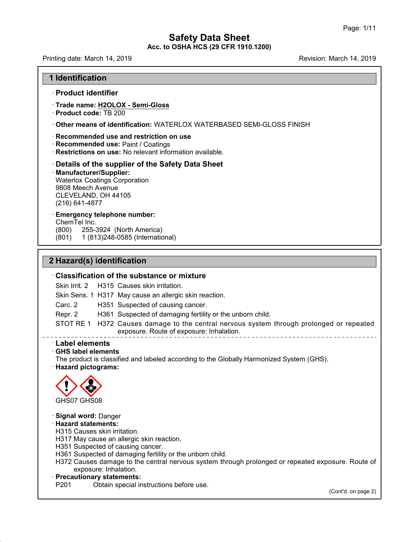# **Safety Data Sheet<br>Safety Data Sheet**<br>RR **Acc. to OSHA HCS (29 CFR 1910.1200)**<br>Acc. to OSHA HCS (29 CFR 1910.1200) Page: 1/11<br> **Safety Data Sheet**<br>
Acc. to OSHA HCS (29 CFR 1910.1200)<br>
Revision: March 14, 2019<br>
Revision: March 14, 2019

**1 Identification<br>1 Identification<br>Product identifier** 

# · **Product identifier**

- · **Trade name: H2OLOX - Semi-Gloss**
- · **Product code:** TB 200
- · **Other means of identification:** WATERLOX WATERBASED SEMI-GLOSS FINISH
- · **Recommended use and restriction on use**
- · **Recommended use:** Paint / Coatings
- · **Restrictions on use:** No relevant information available.

# · **Details of the supplier of the Safety Data Sheet**

# · **Manufacturer/Supplier:**

Waterlox Coatings Corporation 9808 Meech Avenue CLEVELAND, OH 44105 (216) 641-4877

# · **Emergency telephone number:**

ChemTel Inc.<br>(800) 255-3

(800) 255-3924 (North America)

(801) 1 (813)248-0585 (International)

# Emergency telephone number:<br>
ChemTel Inc.<br>
(800) 255-3924 (North America)<br>
(801) 1 (813)248-0585 (International)<br> **2 Hazard(s) identification**<br>
Classification of the substance or m (801) 1 (813)248-0585 (International)<br> **Classification of the substance or mixture**<br>
Skin Irrit. 2 H315 Causes skin irritation.<br>
Skin Sons 1 H317 May cause an allergic skin reaction

Skin Irrit. 2 H315 Causes skin irritation. Skin Sens. 1 H317 May cause an allergic skin reaction.

**Classification of the substance or mixture**<br>Skin Irrit. 2 H315 Causes skin irritation.<br>Skin Sens. 1 H317 May cause an allergic skin reaction.<br>Carc. 2 H351 Suspected of causing cancer.<br>Repr. 2 H361 Suspected of damaging fe

**Classification of the substance or mixture**<br>
Skin Irrit. 2 H315 Causes skin irritation.<br>
Skin Sens. 1 H317 May cause an allergic skin reaction.<br>
Carc. 2 H361 Suspected of damaging fertility or the unborn child.<br>
STOT RE 1 Skin Irrit. 2 H315 Causes skin irritation.<br>
Skin Sens. 1 H317 May cause an allergic skin reaction.<br>
Carc. 2 H351 Suspected of causing cancer.<br>
Repr. 2 H361 Suspected of damaging fertility or the unborn child.<br>
STOT RE 1 H3 Skin Sens. 1 H317 May cause an allergic skin reaction.<br>
Carc. 2 H351 Suspected of causing cancer.<br>
Repr. 2 H361 Suspected of damaging fertility or the unborn child<br>
STOT RE 1 H372 Causes damage to the central nervous syste Repr. 2 H361 Suspecter<br>
STOT RE 1 H372 Causes composure.<br> **Label elements**<br> **GHS label elements**<br>
The product is classified and later Hazard pictograms: THE PRODUCT RE 1 H372 Causes damage to the central nervous system through prolonged or repea<br>
exposure. Route of exposure: Inhalation.<br> **CHS label elements**<br> **CHS label elements**<br>
The product is classified and labeled acco



48.0

**· Signal word: Danger<br>· Hazard statements:<br>H315 Causes skin irritation.** 

- GHS07 GHS08<br>**Signal word:** Danger<br>**Hazard statements:**<br>H315 Causes skin irritation.<br>H317 May cause an allergic skin reaction.<br>H351 Suspected of damaging fertility or the upborn r<br>H361 Suspected of damaging fertility or the
- H317 May cause an allergic skin reaction.<br>H351 Suspected of causing cancer.
- H361 Suspected of damaging fertility or the unborn child.
- Signal word: Danger<br>Hazard statements:<br>H315 Causes skin irritation.<br>H317 May cause an allergic skin reaction.<br>H351 Suspected of damaging fertility or the unborn child.<br>H372 Causes damage to the central nervous system throu Hazard statements:<br>H315 Causes skin irritation.<br>H317 May cause an allergic skin reaction.<br>H351 Suspected of causing cancer.<br>H361 Suspected of damaging fertility or the unborn child.<br>H372 Causes damage to the central nervou H315 Causes skin irritation.<br>
H317 May cause an allergic skin rea<br>
H351 Suspected of causing cancer<br>
H361 Suspected of damaging fertili<br>
H372 Causes damage to the centr<br>
exposure: Inhalation.<br> **Precautionary statements:**<br> H351 Suspected of causing cancer.<br>
H361 Suspected of damaging fertility or the unborn child.<br>
H372 Causes damage to the central nervous system through pr<br>
exposure: Inhalation.<br> **Precautionary statements:**<br>
P201 Obtain spe osure. Route of<br>(Cont'd. on page 2)
- 
-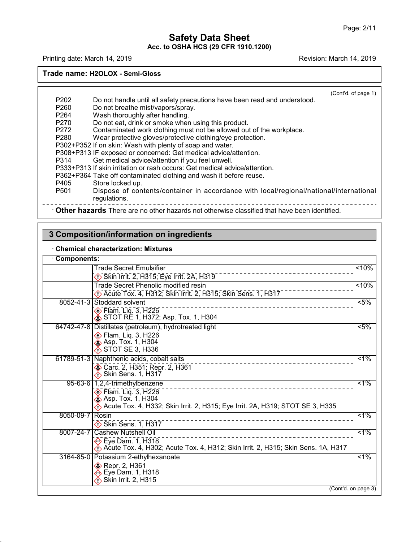# **Safety Data Sheet<br>Safety Data Sheet**<br>RR **Acc. to OSHA HCS (29 CFR 1910.1200)**<br>Acc. to OSHA HCS (29 CFR 1910.1200) Page: 2/11<br> **Safety Data Sheet**<br>
Acc. to OSHA HCS (29 CFR 1910.1200)<br>
Revision: March 14, 2019<br>
Revision: March 14, 2019<br>
Revision: March 14, 2019

# **Trade name: H2OLOX - Semi-Gloss**

 $\overline{\phantom{a}}$ <br>(Cont'd. of page 1) P202 Do not handle until all safety precautions have been read and understood.<br>P260 Do not breathe mist/vapors/spray.<br>P264 Wash theroughly after handling. de name: H2OLOX - Semi-Gloss<br>
<br>
P202 Do not handle until all safety precaution<br>
P260 Do not breathe mist/vapors/spray.<br>
P264 Wash thoroughly after handling.<br>
P270 Do not eat, drink or smoke when using P202 Do not handle until all safety precautions P<br>P260 Do not breathe mist/vapors/spray.<br>P264 Wash thoroughly after handling.<br>P270 Do not eat, drink or smoke when using thi<br>P272 Contaminated work clothing must not be a P202 Do not handle until all safety precautions have been read and relation to the mist energy do not breather mist energy.<br>
P264 Wash thoroughly after handling.<br>
P270 Do not eat, drink or smoke when using this product.<br>
P P202 Do not handle until all safety precautions have been read and understood.<br>
P260 Do not breathe mist/vapors/spray.<br>
P264 Wash thoroughly after handling.<br>
P270 Do not eat, drink or smoke when using this product.<br>
P272 C P202 Do not handle until all safety precautions have been read and understo<br>
P260 Do not breathe mist/vapors/spray.<br>
P264 Wash thoroughly after handling.<br>
P270 Do not eat, drink or smoke when using this product.<br>
P272 Cont P260 Do not breathe mist/vapors/spray.<br>
P264 Wash thoroughly after handling.<br>
P270 Do not eat, drink or smoke when using this product.<br>
P272 Contaminated work clothing must not be allowed out of the<br>
P280 Wear protective g P264 Wash thoroughly after handling.<br>
P270 Do not eat, drink or smoke when using this product.<br>
P272 Contaminated work clothing must not be allowed out of the v<br>
P280 Wear protective gloves/protective clothing/eye protecti P270 Do not eat, drink or smoke when using this product.<br>
P272 Contaminated work clothing must not be allowed out of the<br>
P280 Wear protective gloves/protective clothing/eye protection.<br>
P302+P352 If on skin: Wash with ple P272 Contaminated work clothing must not be allowed out of the workp<br>
P280 Wear protective gloves/protective clothing/eye protection.<br>
P302+P352 If on skin: Wash with plenty of soap and water.<br>
P308+P313 IF exposed or conc P280 Wear protective gloves/protective clothing/eye protection.<br>
P302+P352 If on skin: Wash with plenty of soap and water.<br>
P308+P313 IF exposed or concerned: Get medical advice/attention.<br>
P314 Get medical advice/attentio P302+P352 If on skin: Wash with plenty of soles P308+P313 IF exposed or concerned: Get m<br>P314 Get medical advice/attention if y<br>P333+P313 If skin irritation or rash occurs: C<br>P362+P364 Take off contaminated clothing a<br>P405 P314 Get medical advice/attention if you feel unwell.<br>
P333+P313 If skin irritation or rash occurs: Get medical advice/attention.<br>
P362+P364 Take off contaminated clothing and wash it before reuse.<br>
P405 Store locked up.<br> regulations. P333+P313 If SKIN IFITERITON OF TASH OCCURS: Get medical advice/attention.<br>
P362+P364 Take off contaminated clothing and wash it before reuse.<br>
P405 Store locked up.<br>
Dispose of contents/container in accordance with local/ P501 Dispose of contents/container in accordance<br> **2 Composition**<br> **3 Composition/information on ingredients<br>
Chemical characterization: Mixtures** 

48.0

|                 | 3 Composition/information on ingredients                                                                                                                                        |               |
|-----------------|---------------------------------------------------------------------------------------------------------------------------------------------------------------------------------|---------------|
|                 | <b>Chemical characterization: Mixtures</b>                                                                                                                                      |               |
| Components:     |                                                                                                                                                                                 |               |
|                 | <b>Trade Secret Emulsifier</b><br>$\Diamond$ Skin Irrit. 2, H315; Eye Irrit. 2A, H319                                                                                           | < 10%         |
|                 | <b>Trade Secret Phenolic modified resin</b><br><b>C</b> Acute Tox. 4, H312; Skin Irrit. 2, H315; Skin Sens. 1, H317                                                             | $10\%$        |
|                 | 8052-41-3 Stoddard solvent<br><b>Elam.</b> Lig. 3, H226<br>STOT RE 1, H372; Asp. Tox. 1, H304                                                                                   | $5\%$         |
|                 | 64742-47-8 Distillates (petroleum), hydrotreated light<br><b>Elam.</b> Lig. 3, H226<br><b>Ex.</b> Asp. Tox. 1, H304<br>$\bigwedge$ STOT SE 3, H336                              | $5\%$         |
|                 | 61789-51-3 Naphthenic acids, cobalt salts<br>Carc. 2, H351; Repr. 2, H361<br>$\bigotimes$ Skin Sens. 1, H317                                                                    | $1\%$         |
|                 | 95-63-6   1,2,4-trimethylbenzene<br>$\circledcirc$ Flam. Lig. 3, H226<br>ies Asp. Tox. 1, H304<br>Acute Tox. 4, H332; Skin Irrit. 2, H315; Eye Irrit. 2A, H319; STOT SE 3, H335 | $\sqrt{51\%}$ |
| 8050-09-7 Rosin | $\diamondsuit$ Skin Sens. 1, H317                                                                                                                                               | 51%           |
| 8007-24-7       | <b>Cashew Nutshell Oil</b><br>Eye Dam. 1, H318<br>Acute Tox. 4, H302; Acute Tox. 4, H312; Skin Irrit. 2, H315; Skin Sens. 1A, H317                                              | $1\%$         |
|                 | 3164-85-0 Potassium 2-ethylhexanoate<br>Repr. 2, H361<br>< Eye Dam. 1, H318<br>$\bigotimes$ Skin Irrit. 2, H315                                                                 | 51%           |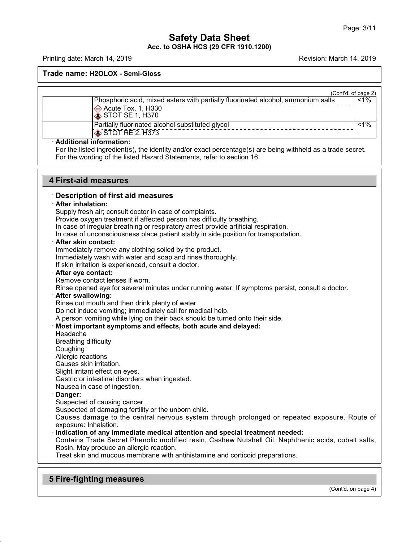# **Safety Data Sheet<br>Safety Data Sheet**<br>RR **Acc. to OSHA HCS (29 CFR 1910.1200)**<br>Acc. to OSHA HCS (29 CFR 1910.1200) Page: 3/11<br> **Safety Data Sheet**<br>
Acc. to OSHA HCS (29 CFR 1910.1200)<br>
Revision: March 14, 2019<br>
Revision: March 14, 2019<br>
Revision: March 14, 2019

**Trade name: H2OLOX - Semi-Gloss**

| h'tnr | nf nane | 2) |
|-------|---------|----|

|                                |                                                                                                                                                                                      | (Cont'd. of page 2) |
|--------------------------------|--------------------------------------------------------------------------------------------------------------------------------------------------------------------------------------|---------------------|
|                                | Phosphoric acid, mixed esters with partially fluorinated alcohol, ammonium salts<br>Acute Tox. 1, H330<br>$\hat{\textbf{S}}$ STOT SE 1, H370                                         | $< 1\%$             |
|                                | Partially fluorinated alcohol substituted glycol<br>STOT RE 2, H373                                                                                                                  | $1\%$               |
| <b>Additional information:</b> | For the listed ingredient(s), the identity and/or exact percentage(s) are being withheld as a trade secret.<br>For the wording of the listed Hazard Statements, refer to section 16. |                     |

**4 First-aid measures**<br>**4 First-aid measures**<br>**4 First-aid measures**<br>**9 Description of first aid measures** For the wording of the listed Hazard Statements, refer to section 16.<br> **4 First-aid measures**<br> **Description of first aid measures<br>
After inhalation:**<br>
Supply fresh air; consult doctor in case of complaints.

# **First-aid measures**<br> **· Description of first a**<br> **· After inhalation:**<br>
Supply fresh air; consult<br>
Provide oxygen treatment

Provide oxygen treatment if affected person has difficulty breathing.

In case of irregular breathing or respiratory arrest provide artificial respiration.

**Description of first aid measures<br>
After inhalation:**<br>
Supply fresh air; consult doctor in case of complaints.<br>
Provide oxygen treatment if affected person has difficulty breathing.<br>
In case of irregular breathing or resp In case of tirst aid measures<br> **After inhalation:**<br>
Supply fresh air; consult doctor in case of complaints.<br>
Provide oxygen treatment if affected person has difficulty breathing.<br>
In case of irregular breathing or respirat Supply fresh air; consult doctor in case of complaints.<br>Provide oxygen treatment if affected person has difficulty breathin<br>In case of irregular breathing or respiratory arrest provide artificial<br>In case of unconsciousness Provide oxygen treatment if affected person has difficulty breathing.<br>In case of irregular breathing or respiratory arrest provide artificial re<br>In case of unconsciousness place patient stably in side position for the<br>**Aft** 

In case of irregular breathing or respiratory arrest provide at<br>
In case of unconsciousness place patient stably in side posi<br> **After skin contact:**<br>
Immediately remove any clothing soiled by the product.<br>
Immediately wash After skin contact:<br>
Immediately remove any clothing soiled by the product.<br>
Immediately wash with water and soap and rinse thoroughly.<br>
If skin irritation is experienced, consult a doctor.<br>
After eye contact:<br>
Remove cont

Immediately remove any clothing soiled by the product.<br>
Immediately wash with water and soap and rinse thoroughly.<br>
If skin irritation is experienced, consult a doctor.<br> **After eye contact:**<br>
Remove contact lenses if worn. If skin irritation is experienced, consult a doctor.<br> **After eye contact:**<br>
Remove contact lenses if worn.<br>
Rinse opened eye for several minutes under running water.<br> **After swallowing:**<br>
Rinse out mouth and then drink ple Frame opened eye for several minutes under running water. If symptoms persist, consult a doctor.<br> **After swallowing:**<br>
Rinse out mouth and then drink plenty of water.<br>
Do not induce vomiting; immediately call for medical h Remove contact lenses if worn.<br>
Rinse opened eye for several minutes under running water. If symptoms persist, consult a<br> **After swallowing:**<br>
Rinse out mouth and then drink plenty of water.<br>
Do not induce vomiting; immedi

Rinse out mouth and then dri<br>Do not induce vomiting; imme<br>A person vomiting while lying<br>**Most important symptoms**<br>Headache<br>Breathing difficulty<br>Coughing<br>Allergic reactions

# Most important symptoms and effects, both acute and delayed:<br>Headache<br>Breathing difficulty<br>Coughing<br>Allergic reactions<br>Causes skin irritation.

Headache<br>Breathing difficulty

Coughing

Slight irritant effect on eyes.

Headache<br>Breathing difficulty<br>Coughing<br>Allergic reactions<br>Causes skin irritation.<br>Slight irritant effect on eyes.<br>Gastric or intestinal disorders when inges<br>Nausea in case of ingestion Breathing difficulty<br>Coughing<br>Allergic reactions<br>Causes skin irritation.<br>Slight irritant effect on eyes.<br>Gastric or intestinal disorders when ingested.<br>Nausea in case of ingestion.<br>Danger: Coughing<br>
Allergic reactions<br>
Causes skin irritation.<br>
Slight irritant effect on eyes.<br>
Gastric or intestinal disorders when in<br>
Nausea in case of ingestion.<br> **Danger:**<br>
Suspected of causing capcer. Causes skin irritation.<br>Slight irritant effect on eyes.<br>Gastric or intestinal disorders when inges<br>Nausea in case of ingestion.<br>**Danger:**<br>Suspected of damaging fertility or the unk<br>Causes damage to the central nervou

48.0

Slight irritant effect on eyes.<br>Gastric or intestinal disorders when ingested.<br>Nausea in case of ingestion.<br>**Danger:**<br>Suspected of damaging fertility or the unborn child.<br>Causes damage to the central nervous system through Gastric or intestinal disorders when ingested.<br>Nausea in case of ingestion.<br>**Danger:**<br>Suspected of causing cancer.<br>Suspected of damaging fertility or the unborn child.<br>Causes damage to the central nervous system through pr Nausea in case of ingestion.<br> **Danger:**<br>
Suspected of causing cancer.<br>
Suspected of damaging fertility or the unborn child.<br>
Causes damage to the central nervous system through prolonged or repeated exposinexposure: Inhala

Suspected of causing cancer.<br>Suspected of damaging fertility or the unborn child.<br>Causes damage to the central nervous system through prolonged or repeated exposure. Route of<br>exposure: Inhalation.<br>Indication of any immedia Suspected of damaging fertility or the unborn child.<br>Causes damage to the central nervous system through prolonged or repeate<br>exposure: Inhalation.<br>**Indication of any immediate medical attention and special treatment neede** Causes damage to the central nervous system through prolonged or repeated exposure: Inhalation.<br> **Indication of any immediate medical attention and special treatment needed:**<br>
Contains Trade Secret Phenolic modified resin, **1 Indication or any immediate medical a**<br>
Contains Trade Secret Phenolic modif<br>
Rosin. May produce an allergic reaction.<br>
Treat skin and mucous membrane with a<br> **5 Fire-fighting measures** 

(Cont'd. on page 4)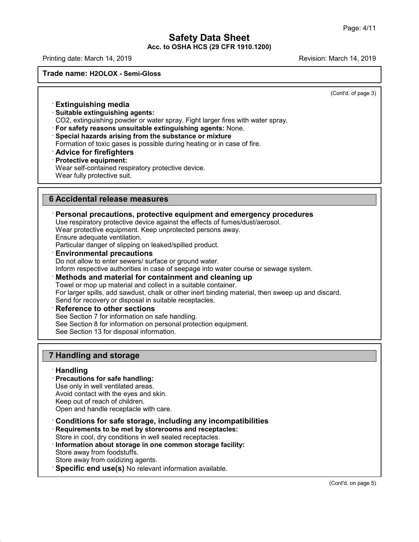# **Safety Data Sheet<br>Safety Data Sheet**<br>RR **Acc. to OSHA HCS (29 CFR 1910.1200)**<br>Acc. to OSHA HCS (29 CFR 1910.1200) Page: 4/11<br> **Safety Data Sheet**<br>
Acc. to OSHA HCS (29 CFR 1910.1200)<br>
Revision: March 14, 2019<br>
Revision: March 14, 2019<br>
Revision: March 14, 2019

**Trade name: H2OLOX - Semi-Gloss**

 $\overline{(\text{Cont } d.\text{ of page 3})}$ 

# ade name: H2OLOX - Semi-Gloss<br> **Extinguishing media**<br>
• **Extinguishing media**<br>
• Suitable extinguishing agents:<br>
CO2, extinguishing powder or water sp **Extinguishing media<br>• Extinguishing media<br>• Suitable extinguishing agents:<br>• CO2, extinguishing powder or water spray. I<br>• For safety reasons unsuitable extinquish**

**CO2, extinguishing media**<br>
CO2, extinguishing agents:<br>
CO2, extinguishing powder or water spray. Fight larger fires with water spray.<br> **For safety reasons unsuitable extinguishing agents:** None.<br> **• Special hazards arisin** Formation of toxic gases is possible and the substance of the substance for safety reasons unsuitable extinguishing agents: None.<br>
For safety reasons unsuitable extinguishing agents: None.<br>
Special hazards arising from the

- 
- 
- 
- 

CO2, examgelising power of<br>**For safety reasons unsuitable**<br>**Special hazards arising from<br>Formation of toxic gases is posentially<br><b>Advice for firefighters**<br>**Protective equipment:**<br>Wear self-contained respirator<br>Wear fully p For safety reasons unsuitable extinguishing agents: None.<br>
Special hazards arising from the substance or mixture<br>
Formation of toxic gases is possible during heating or in case of fire.<br> **Advice for firefighters**<br>
Protecti Special nazards arising from the subsection<br>Formation of toxic gases is possible duri<br>**Advice for firefighters**<br>Protective equipment:<br>Wear self-contained respiratory protective<br>Wear fully protective suit. **Example 18 Accidental release measures**<br> **6 Accidental release measures**<br> **6 Accidental release measures**<br> **6 Personal precautions, protective equipm** 

# **Example 2018**<br> **Personal precautions, protective equipment and emergency procedures**<br>
Use respiratory protective device against the effects of fumes/dust/aerosol.<br>
Wear protective equipment. Keep unprotected persons away. Accidental release measures<br>Personal precautions, protective equipment and emergency pr<br>Use respiratory protective device against the effects of fumes/dust/aerosol<br>Wear protective equipment. Keep unprotected persons away.<br> **6 Accidental release measures**<br> **Ensurangle Tensure adequate ventilation**. Personal precautions, protective equipment and emergency provide the effects of fumes/dust/aerosol.<br>
Wear protective equipment. Keep unprotected p

**Personal precautions, protective equipment and emerg**<br>Use respiratory protective device against the effects of fumes/dus<br>Wear protective equipment. Keep unprotected persons away.<br>Ensure adequate ventilation.<br>Particular da

Do not allow to enter sewers/ surface or ground water.<br>Inform respective authorities in case of seepage into water course<br>Methods and material for containment and cleaning up Inform respective authorities in case of seepage into water course or sewage system.

Wear protective equipment. Keep unprotected persons away.<br>
Ensure adequate ventilation.<br>
Particular danger of slipping on leaked/spilled product.<br> **Environmental precautions**<br>
Do not allow to enter sewers/ surface or groun **Environmental precautions**<br>Do not allow to enter sewers/ surface or ground water.<br>Inform respective authorities in case of seepage into water course or sewage system.<br>**Methods and material for containment and cleaning up** Do not allow to enter sewers/ surface or ground water.<br>
Inform respective authorities in case of seepage into water of<br> **Methods and material for containment and cleanin**<br>
Towel or mop up material and collect in a suitable Towel or mop up material and collect in a suitable container.<br>For larger spills, add sawdust, chalk or other inert binding materi<br>Send for recovery or disposal in suitable receptacles.<br>**Reference to other sections**<br>See Sec For larger spills, add sawdust, chalk or other inert binding material, then<br>Send for recovery or disposal in suitable receptacles.<br>**Reference to other sections**<br>See Section 7 for information on safe handling.<br>See Section 8 Send for recovery or disposal in suitable receptacles.

**Reference to other sections**<br>
See Section 7 for information on safe hal<br>
See Section 8 for information on personal<br>
See Section 13 for disposal information.<br> **7 Handling and storage**<br> **Handling** 

# · **Handling**

48.0

- 
- 

**Handling and storage<br>· <b>Handling**<br>· **Precautions for safe handling:**<br>Use only in well ventilated areas.<br>Avoid contact with the eves and skin. **Handling and storage<br>Handling<br>Precautions for safe handling:**<br>Use only in well ventilated areas.<br>Avoid contact with the eyes and skin.<br>Keep out of reach of children **Handling and storage<br>Handling<br>Precautions for safe handling:**<br>Use only in well ventilated areas.<br>Avoid contact with the eyes and skin.<br>Keep out of reach of children.<br>Open and handle recentacle with care.

**Handling<br>Precautions for safe handling:**<br>Use only in well ventilated areas.<br>Avoid contact with the eyes and skin.<br>Keep out of reach of children.<br>Open and handle receptacle with care.

- **Example 18**<br> **Precautions for safe handling:**<br>
Use only in well ventilated areas.<br>
Avoid contact with the eyes and skin.<br>
Keep out of reach of children.<br>
Open and handle receptacle with care.<br> **Conditions for safe storage** Avoid contact with the eyes and skin.<br>
Keep out of reach of children.<br>
Open and handle receptacle with care.<br> **Conditions for safe storage, including any incompatibilities**<br> **Requirements to be met by storerooms and recept**
- 

- Store in conditions in compatibilities<br>
Conditions for safe storage, including any incompatibilities<br> **Conditions for safe storage, including any incompatibilities**<br> **Requirements to be met by storerooms and receptacles:**<br> Requirements to be met by storerooms and receptacles:<br>Store in cool, dry conditions in well sealed receptacles.<br>Information about storage in one common storage facilit<br>Store away from oxidizing agents.<br>Store away from oxid **Conditions for safe storage, including any incompatibili**<br> **Requirements to be met by storerooms and receptacles:**<br>
Store in cool, dry conditions in well sealed receptacles.<br> **Information about storage in one common stora**
-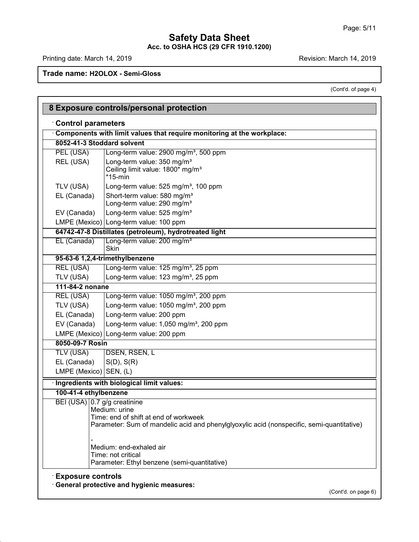# **Safety Data Sheet Acc. to OSHA HCS (29 CFR 1910.1200)** Page: 5/11<br> **Safety Data Sheet**<br>
Acc. to OSHA HCS (29 CFR 1910.1200)<br>
Revision: March 14, 2019<br>
Revision: March 14, 2019<br>
Revision: March 14, 2019

Г

48.0

March 14, 2019<br>(Cont'd. of page 4)

|                                       | (Cont'd. of page 4)                                                                                                                                 |
|---------------------------------------|-----------------------------------------------------------------------------------------------------------------------------------------------------|
|                                       |                                                                                                                                                     |
|                                       | 8 Exposure controls/personal protection                                                                                                             |
| <b>Control parameters</b>             |                                                                                                                                                     |
|                                       | Components with limit values that require monitoring at the workplace:                                                                              |
| 8052-41-3 Stoddard solvent            |                                                                                                                                                     |
| PEL (USA)                             | Long-term value: 2900 mg/m <sup>3</sup> , 500 ppm                                                                                                   |
| REL (USA)                             | Long-term value: 350 mg/m <sup>3</sup><br>Ceiling limit value: 1800* mg/m <sup>3</sup><br>$*15$ -min                                                |
| TLV (USA)                             | Long-term value: 525 mg/m <sup>3</sup> , 100 ppm                                                                                                    |
| EL (Canada)                           | Short-term value: 580 mg/m <sup>3</sup><br>Long-term value: 290 mg/m <sup>3</sup>                                                                   |
| EV (Canada)                           | Long-term value: 525 mg/m <sup>3</sup>                                                                                                              |
|                                       | LMPE (Mexico) Long-term value: 100 ppm                                                                                                              |
|                                       | 64742-47-8 Distillates (petroleum), hydrotreated light                                                                                              |
| EL (Canada)                           | Long-term value: 200 mg/m <sup>3</sup><br><b>Skin</b>                                                                                               |
|                                       | 95-63-6 1,2,4-trimethylbenzene                                                                                                                      |
| REL (USA)                             | Long-term value: 125 mg/m <sup>3</sup> , 25 ppm                                                                                                     |
| TLV (USA)                             | Long-term value: 123 mg/m <sup>3</sup> , 25 ppm                                                                                                     |
| 111-84-2 nonane                       |                                                                                                                                                     |
| <b>REL (USA)</b>                      | Long-term value: 1050 mg/m <sup>3</sup> , 200 ppm                                                                                                   |
| TLV (USA)                             | Long-term value: 1050 mg/m <sup>3</sup> , 200 ppm                                                                                                   |
| EL (Canada)                           | Long-term value: 200 ppm                                                                                                                            |
| EV (Canada)                           | Long-term value: 1,050 mg/m <sup>3</sup> , 200 ppm                                                                                                  |
|                                       | LMPE (Mexico) Long-term value: 200 ppm                                                                                                              |
| 8050-09-7 Rosin                       |                                                                                                                                                     |
| <b>TLV (USA)</b>                      | DSEN, RSEN, L                                                                                                                                       |
| EL (Canada)<br>LMPE (Mexico) SEN, (L) | $S(D)$ , $S(R)$                                                                                                                                     |
|                                       |                                                                                                                                                     |
|                                       | Ingredients with biological limit values:                                                                                                           |
| 100-41-4 ethylbenzene                 |                                                                                                                                                     |
| BEI (USA) 0.7 g/g creatinine          | Medium: urine<br>Time: end of shift at end of workweek<br>Parameter: Sum of mandelic acid and phenylglyoxylic acid (nonspecific, semi-quantitative) |
|                                       | Medium: end-exhaled air<br>Time: not critical<br>Parameter: Ethyl benzene (semi-quantitative)                                                       |
| <b>Exposure controls</b>              | <b>General protective and hygienic measures:</b><br>(Cont'd. on page 6)                                                                             |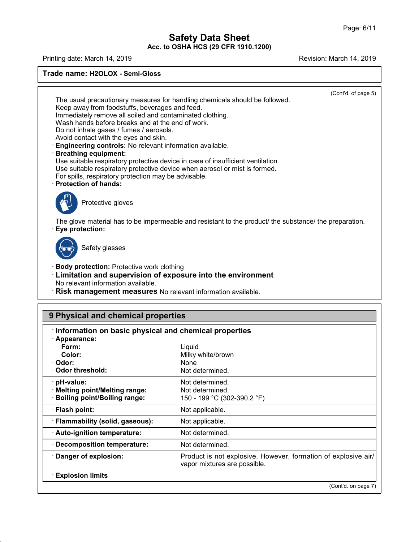# **Safety Data Sheet<br>Safety Data Sheet**<br>RR **Acc. to OSHA HCS (29 CFR 1910.1200)**<br>Acc. to OSHA HCS (29 CFR 1910.1200) Page: 6/11<br> **Safety Data Sheet**<br>
Acc. to OSHA HCS (29 CFR 1910.1200)<br>
Revision: March 14, 2019<br>
Revision: March 14, 2019<br>
Revision: March 14, 2019

**Trade name: H2OLOX - Semi-Gloss**  $\overline{(\text{Cont } d.\text{ of page 5})}$ The usual precautionary measures for handling chemicals should be followed.<br>The usual precautionary measures for handling chemicals should be followed.<br>Keep away from foodstuffs, beverages and feed.<br>Immediately remove all de name: H2OLOX - Semi-Gloss<br>
The usual precautionary measures for handling chemicals sho<br>
Keep away from foodstuffs, beverages and feed.<br>
Immediately remove all soiled and contaminated clothing.<br>
Wash hands before breaks The usual precautionary measures for handling chemicals should be<br>Keep away from foodstuffs, beverages and feed.<br>Immediately remove all soiled and contaminated clothing.<br>Wash hands before breaks and at the end of work.<br>Do The usual precautionary measures for handling chemicals should<br>Keep away from foodstuffs, beverages and feed.<br>Immediately remove all soiled and contaminated clothing.<br>Wash hands before breaks and at the end of work.<br>Do not The usual precautionary measures for handling c<br>Keep away from foodstuffs, beverages and feed.<br>Immediately remove all soiled and contaminated<br>Wash hands before breaks and at the end of wor<br>Do not inhale gases / fumes / aer The usual precautionary measures for handling chemicals should b<br>Keep away from foodstuffs, beverages and feed.<br>Immediately remove all soiled and contaminated clothing.<br>Wash hands before breaks and at the end of work.<br>Do n Wash hands before breaks and at the end of work.<br>Do not inhale gases / fumes / aerosols.<br>Avoid contact with the eyes and skin.<br>**Engineering controls:** No relevant information available.<br>**Breathing equipment:**<br>Use suitable Do not inhale gases / fumes / aerosols.<br>Avoid contact with the eyes and skin.<br>**Engineering controls:** No relevant information available.<br>**Breathing equipment:**<br>Use suitable respiratory protective device in case of insuffic Avoid contact with the eyes and skin.<br> **Engineering controls:** No relevant information available.<br> **Breathing equipment:**<br>
Use suitable respiratory protective device in case of insuffic<br>
Use suitable respiratory protective Use suitable respiratory protective device when aerosol or mist is formed.<br>For spills, respiratory protection may be advisable.<br>**Protection of hands:**<br>Protective gloves The glove material has to be impermeable and resistant to the product/ the substance/ the preparation.<br> **Eye protection:**<br>
Sefative processes The glove material has to be impermeable and resistant to the product/ the substance/ the preparation.<br>
Safety glasses<br>
Safety glasses<br>
Safety glasses<br>
Body protection: Protective work clothing **Eye protection:**<br>
Safety glasses<br> **Body protection:** Protective work clothing<br> **Limitation and supervision of exposure into t**<br>
No relevant information available **Example 3**<br> **Example 3**<br> **Example 3**<br> **Limitation and supervision of exposure into the environment<br>
No relevant information available.<br>
<b>Risk management measures** No relevant information available. No relevant information available.<br>
• **Risk management measures** No relevant information available.<br>
• **Risk management measures** No relevant information available. **19 Physical and chemical properties**<br> **9 Physical and chemical properties**<br> **9 Physical and chemical properties**<br> **9 Physical and chemical properties**<br> **19 Physical and chemical properties Properties CONTERT INTERT INCREDITED IN THE INTERNATION OF Physical and chemical properties<br>
Information on basic physical and chemical properties<br>
Properties<br>
Form: Liquid** · **Appearance: Form:** Liquid **Mysical and chemical properties<br>
<b>Color:** Milky white/brown<br>
dor: Milky white/brown<br>
dor: Milky white/brown<br>
dor: Mone<br>
Milky white/brown<br>
dor: Mone<br>
Not determined · **Odor:** None • **Information on basic physical and chemical properties**<br>
• **Appearance:**<br>
• **Color:**<br>
• **Odor:**<br>
• **Odor threshold:**<br>
• **Melting point/Melting range:**<br>
• **Not determined.**<br>
• **Melting point/Boiling range:**<br>
• **Riash poin** Odor threshold:<br>
Not determined.<br>
Mot determined.<br>
Not determined.<br>
Not determined.<br>
Bolling point/Bolling range:<br>
Not applicable.<br>
Flash point:<br>
Flash point:<br>
Not applicable.<br>
Not applicable.<br>
Auto-ignition temperature:

valid are product is not explosive.<br>
Valid are possible.<br>
• **Decomposition temperature:**<br>
• **Danger of explosion:**<br>
• **Explosion limits**<br>
• **Explosion limits**<br>
• **Explosion limits** f explosive air/<br>
(Cont'd. on page 7)

48.0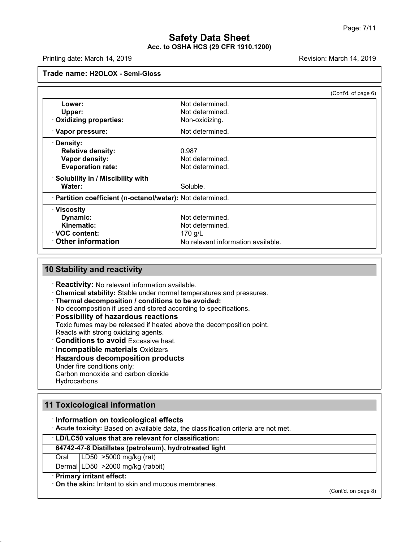# **Safety Data Sheet<br>Safety Data Sheet**<br>RR **Acc. to OSHA HCS (29 CFR 1910.1200)**<br>Acc. to OSHA HCS (29 CFR 1910.1200) Page: 7/11<br> **Safety Data Sheet**<br>
Acc. to OSHA HCS (29 CFR 1910.1200)<br>
Revision: March 14, 2019<br>
Revision: March 14, 2019<br>
Revision: March 14, 2019

|                                                            |                                    | (Cont'd. of page 6) |
|------------------------------------------------------------|------------------------------------|---------------------|
| Lower:                                                     | Not determined.                    |                     |
| <b>Upper:</b>                                              | Not determined.                    |                     |
| <b>Oxidizing properties:</b>                               | Non-oxidizing.                     |                     |
| · Vapor pressure:                                          | Not determined.                    |                     |
| <b>Density:</b>                                            |                                    |                     |
| <b>Relative density:</b>                                   | 0.987                              |                     |
| Vapor density:                                             | Not determined.                    |                     |
| <b>Evaporation rate:</b>                                   | Not determined.                    |                     |
| · Solubility in / Miscibility with                         |                                    |                     |
| Water:                                                     | Soluble.                           |                     |
| · Partition coefficient (n-octanol/water): Not determined. |                                    |                     |
| · Viscosity                                                |                                    |                     |
| Dynamic:                                                   | Not determined.                    |                     |
| Kinematic:                                                 | Not determined.                    |                     |
| ⋅ VOC content:                                             | 170 g/L                            |                     |
|                                                            | No relevant information available. |                     |

**• Reactivity:**<br> **• Reactivity:** No relevant information available.<br>
• **Chemical stability:** Stable under normal temperatures and pressures.<br>
• **Thermal decomposition / conditions to be avoided:**<br>
• **Possibility of hazardo** 

**Example 3 Stability and reactivity**<br> **Example and stability:** Stable under normal temperatures and pressures.<br> **Thermal decomposition / conditions to be avoided:**<br>
No decomposition if used and stored according to specific **Chemical stability:** Stable under normal temperature<br>
Thermal decomposition *i* conditions to be avoided<br>
No decomposition if used and stored according to spe<br> **Possibility of hazardous reactions**<br>
Toxic fumes may be rele • **Possibility of hazardous reactions**<br>Toxic fumes may be released if heated above the decomposition sto avoid Excessive heat.<br>
• **Conditions to avoid** Excessive heat.<br>
• **Incompatible materials** Oxidizers<br>
• **Hazardous de** 

- Reacts with strong oxidizing agents.<br>
Conditions to avoid Excessive heat.<br>
Incompatible materials Oxidizers<br>
Hazardous decomposition produc<br>
Under fire conditions only:<br>
Carbon monoxide and carbon dioxide  $\cdot$  Hazardous decomposition products
- 

**Hydrocarbons** 

**11 Toxicological information**<br> **11 Toxicological information**<br> **11 Toxicological information**<br> **11 Toxicological information**<br> **11 Information on toxicological effects** 

**Hydrocarbons<br>
I**<br> **I Toxicological information<br>
• Information on toxicological effects<br>
• Acute toxicity: Based on available data, the classification<br>
• LD/LC50 values that are relevant for classification: The Toxicological information<br>
• Information on toxicological effects<br>
• Acute toxicity: Based on available data, the classification criteria are not met.<br>
• <b>LD/LC50 values that are relevant for classification:**<br>
• 64742 **Information on toxicological effects**<br> **Acute toxicity:** Based on available data, the classification criteria are r<br> **LD/LC50 values that are relevant for classification:**<br> **64742-47-8 Distillates (petroleum), hydrotreate** 

# **Information on toxicological effects**<br>Acute toxicity: Based on available data, the cla<br>LD/LC50 values that are relevant for classific<br>64742-47-8 Distillates (petroleum), hydrotreat<br>Oral LD50 >5000 mg/kg (rat)<br>Dermal LD50 Acute toxicity: Based on available data, the cla<br>LD/LC50 values that are relevant for classific<br>64742-47-8 Distillates (petroleum), hydrotreat<br>Oral LD50 >5000 mg/kg (rat)<br>Dermal LD50 >2000 mg/kg (rabbit)<br>Primary irritant e • **LD/LC50 values that are relevant**<br> **64742-47-8 Distillates (petroleum)**<br>
Oral LD50 >5000 mg/kg (rat)<br>
Dermal LD50 >2000 mg/kg (rabbit<br>
• **Primary irritant effect:**<br>
• **On the skin:** Irritant to skin and mu **64742-47-8 Distillates (petroleum), hydrotreated light**<br>
Oral LD50 >5000 mg/kg (rat)<br>
Dermal LD50 >2000 mg/kg (rabbit)<br>
Primary irritant effect:<br>
On the skin: Irritant to skin and mucous membranes.

48.0

(Cont'd. on page 8)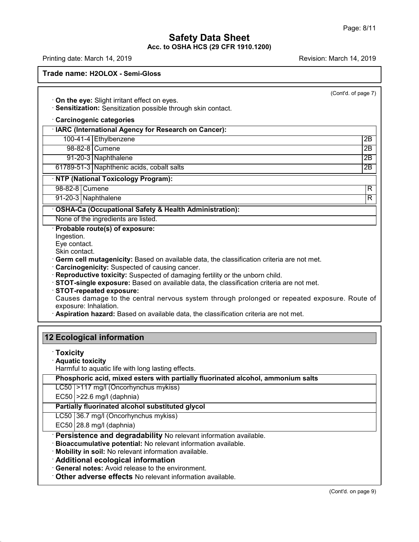# **Safety Data Sheet<br>Safety Data Sheet**<br>RR **Acc. to OSHA HCS (29 CFR 1910.1200)**<br>Acc. to OSHA HCS (29 CFR 1910.1200) Page: 8/11<br> **Safety Data Sheet**<br>
Acc. to OSHA HCS (29 CFR 1910.1200)<br>
Revision: March 14, 2019<br>
Revision: March 14, 2019<br>
Revision: March 14, 2019

48.0

# **Trade name: H2OLOX - Semi-Gloss**

 $\overline{(\text{Cont } d.\text{ of page } 7)}$ **Example 20. Property Container 1998**<br> **Con the eye:** Slight irritant effect on eyes.<br> **· Sensitization:** Sensitization possible through skin contact.<br> **· Carcinogenic categories**<br> **· IARC (International Agency for Researc** • **On the eye:** Slight irritant effect on eyes.<br>• **Sensitization:** Sensitization possible through skin contact.<br>• **Carcinogenic categories**<br>• **IARC (International Agency for Research on Cancer):**<br>• 100-41-4 Ethylbenzene<br>• 1 the eye: Slight irritant effect on eyes.<br>
Institization: Sensitization possible through skin contact.<br>
International Agency for Research on Cancer):<br>
100-41-4 Ethylbenzene 2B<br>
98-82-8 Cumene 2B Situzation: Sensitization possible through skin contact.<br>
C (International Agency for Research on Cancer):<br>
00-41-4 Ethylbenzene 2B<br>
98-82-8 Cumene 2B<br>
91-20-3 Naphthalene 2B cinogenic categories<br>
C (International Agency for Research on Cancer):<br>
00-41-4 Ethylbenzene 2B<br>
93-82-8 Cumene 2B<br>
91-20-3 Naphthalene 2B<br>
89-51-3 Naphthenic acids, cobalt salts 2B<br>
2B<br>
2B<br>
2B FRIER (International Agency for Research on Cancer):<br>
100-41-4 Ethylbenzene<br>
98-82-8 Cumene<br>
91-20-3 Naphthalene<br>
61789-51-3 Naphthenic acids, cobalt salts<br>
NTP (National Toxicology Program): 91-20-3 Naphthalene<br>
61789-51-3 Naphthenic acids, cobalt salts<br> **NTP (National Toxicology Program):**<br>
98-82-8 Cumene<br>
91-20-3 Naphthalene 98-82-8 Cumene<br>
91-20-3 Naphthalene<br>
61789-51-3 Naphthenic acids, cobalt salts<br>
NTP (National Toxicology Program):<br>
98-82-8 Cumene<br>
91-20-3 Naphthalene<br>
R 91-20-3 Naphthenic acids, cobalt salts<br>
61789-51-3 Naphthenic acids, cobalt salts<br>
NTP (National Toxicology Program):<br>
98-82-8 Cumene<br>
91-20-3 Naphthalene R<br>
OSHA-Ca (Occupational Safety & Health Administration): **EXECUTE CONCORRY FOR THE CALCE OF THE CALCE OF THE CALCE OF THE CALCE COCCUPATION SAfety & Health Administration):**<br> **OSHA-Ca (Occupational Safety & Health Administration):**<br>
None of the ingredients are listed. **NTP (National Toxicology Program):**<br>
98-82-8 Cumene<br>
91-20-3 Naphthalene<br> **COSHA-Ca (Occupational Safety & Health Ad**<br>
None of the ingredients are listed.<br> **Probable route(s) of exposure:**<br>
Ingestion.<br>
Eve contact. Ingestion.<br>Eve contact. **OSHA-Ca (Occupation<br>None of the ingredients<br>Probable route(s) of e<br>Ingestion.**<br>Eye contact.<br>Skin contact.<br>Germ cell mutagenicial **CONFIGURER**<br> **CONFIGURER**<br> **Probable route(s) of exposure:**<br>
Ingestion.<br>
Eye contact.<br>
Skin contact.<br> **Configures:**<br>
Skin contact.<br> **Configures:**<br> **Configures:**<br> **Configures:**<br> **Configures:**<br> **Configures:**<br> **Configures:**<br> Germ cell mutagenicity: Based on available data, the classification criteria are not met.<br>Carcinogenicity: Suspected of causing cancer.<br>Reproductive toxicity: Suspected of damaging fertility or the unborn child.<br>STOT-singl **Expredictive:** Suspected of causing cancer.<br> **Reproductive toxicity:** Suspected of damaging fertility or the unborn child.<br> **STOT-single exposure:** Based on available data, the classification criteria are not met.<br> **STOT-12 Ecological information**<br> **12 Ecological information**<br> **12 Ecological information**<br> **12 Ecological information**<br> **12 Ecological information** · **Toxicity 12 Ecological information<br>
Toxicity<br>
Aquatic toxicity<br>
Harmful to aquatic life with long lasting effects.** Ecological information<br>Toxicity<br>Aquatic toxicity<br>Harmful to aquatic life with long lasting effects.<br>Phosphoric acid, mixed esters with partially fluorinate **Provided act in the mixture of the Section**<br>**Phosphoric acid, mixed esters with partially fluorinated alcohol, ammonium salts**<br>**Phosphoric acid, mixed esters with partially fluorinated alcohol, ammonium salts**<br>LC50 |>117 Toxicity<br>Aquatic toxicity<br>Harmful to aquatic life with long lasting effects.<br>Phosphoric acid, mixed esters with partially fluor<br>LC50 |>117 mg/l (Oncorhynchus mykiss)<br>EC50 |>22.6 mg/l (daphnia) Aquatic toxicity<br>Harmful to aquatic life with long lastin<br>Phosphoric acid, mixed esters with<br>LC50 |>117 mg/l (Oncorhynchus myk<br>EC50 |>22.6 mg/l (daphnia)<br>Partially fluorinated alcohol substi Harmful to aquatic life with long lasting effects.<br> **Phosphoric acid, mixed esters with partially fluorinated al**<br>
LC50 |>117 mg/l (Oncorhynchus mykiss)<br>
EC50 |>22.6 mg/l (daphnia)<br> **Partially fluorinated alcohol substitut** Phosphoric acid, mixed esters with partially fluce<br>LC50 >117 mg/l (Oncorhynchus mykiss)<br>EC50 >22.6 mg/l (daphnia)<br>Partially fluorinated alcohol substituted glycol<br>LC50 36.7 mg/l (Oncorhynchus mykiss)<br>EC50 28.8 mg/l (daphni LC50 |>117 mg/l (Oncorhynchus my)<br>EC50 |>22.6 mg/l (daphnia)<br>**Partially fluorinated alcohol subs**<br>LC50 |36.7 mg/l (Oncorhynchus my)<br>EC50 |28.8 mg/l (daphnia)<br>**Persistence and degradability** EC50 > 22.6 mg/l (daphnia)<br> **Partially fluorinated alcohol substituted glycol**<br>
LC50 36.7 mg/l (Oncorhynchus mykiss)<br>
EC50 28.8 mg/l (daphnia)<br> **Persistence and degradability** No relevant information available.<br> **Bioaccumu** • **Persistence and degradability** No relevant information available.<br>• **Bioaccumulative potential:** No relevant information available.<br>• **Additional ecological information**<br>• **General notes:** Avoid release to the environme (Cont'd. on page 9)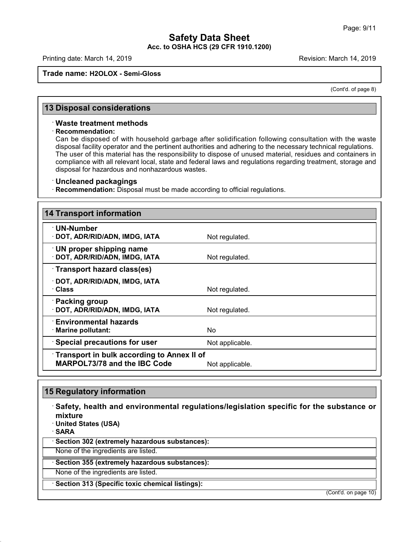# **Safety Data Sheet<br>Safety Data Sheet**<br>RR **Acc. to OSHA HCS (29 CFR 1910.1200)**<br>Acc. to OSHA HCS (29 CFR 1910.1200) Page: 9/11<br> **Safety Data Sheet**<br>
Acc. to OSHA HCS (29 CFR 1910.1200)<br>
Revision: March 14, 2019<br>
Revision: March 14, 2019<br>
Revision: March 14, 2019

# **Trade name: H2OLOX - Semi-Gloss**

March 14, 2019<br>(Cont'd. of page 8)

# **Frade name: H2OLOX - Semi-Gloss**<br>**13 Disposal considerations**<br>Waste treatment methods

# · **Recommendation:**

**B Disposal considerations**<br>• Waste treatment methods<br>• Recommendation:<br>• Can be disposed of with household ga Disposal considerations<br>
Waste treatment methods<br>
Recommendation:<br>
Can be disposed of with household garbage after solidification following consultation with the waste<br>
disposal facility operator and the pertinent authorit **Disposal considerations**<br> **Waste treatment methods**<br> **Recommendation:**<br>
Can be disposed of with household garbage after solidification following consultation with the waste<br>
disposal facility operator and the pertinent au Waste treatment methods<br>
Recommendation:<br>
Can be disposed of with household garbage after solidification following consultation with the waste<br>
disposal facility operator and the pertinent authorities and adhering to the n Waste treatment methods<br>Recommendation:<br>Can be disposed of with household garbage after solidification following consultation with the waste<br>disposal facility operator and the pertinent authorities and adhering to the nece Recommendation:<br>
Can be disposed of with household garbage after solidific<br>
disposal facility operator and the pertinent authorities and adh<br>
The user of this material has the responsibility to dispose of<br>
compliance with disposal facility operator and the pertinent authorities and adhering to the necessary technical regulations.<br>The user of this material has the responsibility to dispose of unused material, residues and containers in<br>compl

| disposal for hazardous and nonhazardous wastes.                                   |                                                                                                      |
|-----------------------------------------------------------------------------------|------------------------------------------------------------------------------------------------------|
| <b>Uncleaned packagings</b>                                                       |                                                                                                      |
| · Recommendation: Disposal must be made according to official regulations.        |                                                                                                      |
|                                                                                   |                                                                                                      |
| <b>14 Transport information</b>                                                   |                                                                                                      |
| · UN-Number<br>· DOT, ADR/RID/ADN, IMDG, IATA                                     | Not regulated.                                                                                       |
| $\cdot$ UN proper shipping name<br>· DOT, ADR/RID/ADN, IMDG, IATA                 | Not regulated.                                                                                       |
| Transport hazard class(es)                                                        |                                                                                                      |
| · DOT, ADR/RID/ADN, IMDG, IATA<br>· Class                                         | Not regulated.                                                                                       |
| <b>Packing group</b><br>· DOT, ADR/RID/ADN, IMDG, IATA                            | Not regulated.                                                                                       |
| $\cdot$ Environmental hazards<br>Marine pollutant:                                | <b>No</b>                                                                                            |
| <b>Special precautions for user</b>                                               | Not applicable.                                                                                      |
| <b>Transport in bulk according to Annex II of</b><br>MARPOL73/78 and the IBC Code | Not applicable.                                                                                      |
|                                                                                   |                                                                                                      |
| <b>15 Regulatory information</b>                                                  |                                                                                                      |
|                                                                                   | $\, \cdot \,$ Safety, health and environmental regulations/legislation specific for the substance or |

48.0

**• MARPOL73776** and the IBC Code Mot applicable.<br>
■ Safety, health and environmental regulations/legislation specific for the substance or<br>
mixture<br>
• United States (USA) mixture<br>**Dimited States (USA) Example 15 Regulatory information<br>
Safety, health and environm<br>
mixture<br>
United States (USA)<br>
SARA<br>
Section 302 (extremely bazarde)** · **SARA** • **Safety, health and environmental regulations/**<br>• United States (USA)<br>• **SARA**<br>• Section 302 (extremely hazardous substances):<br>None of the ingredients are listed. Mone of the ingredients are listed.<br> **SARA**<br> **Section 302 (extremely hazardous substances):**<br>
None of the ingredients are listed.<br>
None of the ingredients are listed.<br>
None of the ingredients are listed. None of the ingredients are listed.<br> **None of the ingredients are listed.**<br> **• Section 355 (extremely hazardous substances):**<br>
None of the ingredients are listed.<br>
• Section 313 (Specific toxic chemical listings): (Cont'd. on page 10)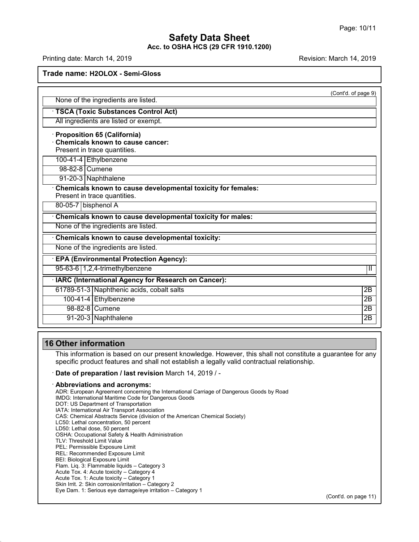# **Safety Data Sheet<br>Safety Data Sheet**<br>RR **Acc. to OSHA HCS (29 CFR 1910.1200)** Page: 10/11<br> **Safety Data Sheet**<br>
Acc. to OSHA HCS (29 CFR 1910.1200)<br>
Revision: March 14, 2019<br>
Revision: March 14, 2019<br>
Revision: March 14, 2019

| Trade name: H2OLOX - Semi-Gloss                                                                          |                     |
|----------------------------------------------------------------------------------------------------------|---------------------|
|                                                                                                          | (Cont'd. of page 9) |
| None of the ingredients are listed.                                                                      |                     |
| · TSCA (Toxic Substances Control Act)                                                                    |                     |
| All ingredients are listed or exempt.                                                                    |                     |
| · Proposition 65 (California)<br><b>Chemicals known to cause cancer:</b><br>Present in trace quantities. |                     |
| 100-41-4 Ethylbenzene                                                                                    |                     |
| 98-82-8 Cumene                                                                                           |                     |
| 91-20-3 Naphthalene                                                                                      |                     |
| Chemicals known to cause developmental toxicity for females:                                             |                     |
| Present in trace quantities.                                                                             |                     |
| 80-05-7 bisphenol A                                                                                      |                     |
| Chemicals known to cause developmental toxicity for males:                                               |                     |
| None of the ingredients are listed.                                                                      |                     |
| Chemicals known to cause developmental toxicity:                                                         |                     |
| None of the ingredients are listed.                                                                      |                     |
| · EPA (Environmental Protection Agency):                                                                 |                     |
| 95-63-6 1,2,4-trimethylbenzene                                                                           | $\mathbf{H}$        |
| · IARC (International Agency for Research on Cancer):                                                    |                     |
| 61789-51-3 Naphthenic acids, cobalt salts                                                                | $\overline{2B}$     |
| 100-41-4 Ethylbenzene                                                                                    | $\overline{2B}$     |
| 98-82-8 Cumene                                                                                           | $\overline{2B}$     |

48.0

This information<br>This information is based on our present knowledge. However, this shall not constitute a guarantee for any<br>specific product features and shall not establish a legally valid contractual relationship. Softer information<br>
This information is based on our present knowledge. However, this shall not constitute a gual<br>
specific product features and shall not establish a legally valid contractual relationship.<br> **Date of prepa** 

**This information is based on our present knowledge. However, this shall not constitute a**<br>specific product features and shall not establish a legally valid contractual relationship.<br> **Date of preparation / last revision Date of preparation / last revision** March 14, 2019 / -<br> **Abbreviations and acronyms:**<br>
ADR: European Agreement concerning the International Carriage of<br>
IMDG: International Maritime Code for Dangerous Goods<br>
DOT: US Depa **Date of preparation / last revision** Manuseum Abbreviations and acronyms:<br>ADR: European Agreement concerning the Internet<br>IMDG: International Maritime Code for Dangerou<br>DOT: US Department of Transportation<br>IATA: Internati **Abbreviations and acronyms:**<br>ADR: European Agreement concerning the Internation<br>IMDG: International Maritime Code for Dangerous Go<br>DOT: US Department of Transport Association<br>IATA: International Air Transport Association<br> **AbbreViations and acronyms:**<br>ADR: European Agreement concerning the International Carriage of Dangerous Goods b<br>IMDG: International Maritime Code for Dangerous Goods<br>DOT: US Department of Transportation<br>IATA: Internationa ADR: European Agreement concerning the Interna<br>IMDG: International Maritime Code for Dangerous<br>DOT: US Department of Transportation<br>IATA: International Air Transport Association<br>CAS: Chemical Abstracts Service (division of IMDG: International Maritime Code for Da<br>DOT: US Department of Transportation<br>IATA: International Air Transport Associat<br>CAS: Chemical Abstracts Service (divisio<br>LC50: Lethal dose, 50 percent<br>LD50: Lethal dose, 50 percent<br> DOT: US Department of Transportation<br>IATA: International Air Transport Association<br>CAS: Chemical Abstracts Service (division of the American C<br>LC50: Lethal concentration, 50 percent<br>LD50: Lethal dose, 50 percent<br>OSHA: Occu IATA: International Air Transport Associa<br>CAS: Chemical Abstracts Service (divisia<br>LC50: Lethal concentration, 50 percent<br>LD50: Lethal dose, 50 percent<br>OSHA: Occupational Safety & Health Ac<br>TLV: Threshold Limit Value<br>PEL: CAS: Chemical Abstracts Service (division of th<br>LC50: Lethal concentration, 50 percent<br>LD50: Lethal dose, 50 percent<br>OSHA: Occupational Safety & Health Administ<br>TLV: Threshold Limit Value<br>PEL: Recommended Exposure Limit<br>RE LC50: Lethal concentration, 50 percent<br>LD50: Lethal dose, 50 percent<br>OSHA: Occupational Safety & Health Administratio<br>TLV: Threshold Limit Value<br>PEL: Permissible Exposure Limit<br>REL: Biological Exposure Limit<br>Tels: Biologic LD50: Lethal dose, 50 percent<br>
OSHA: Occupational Safety & Health Adminis<br>
TLV: Threshold Limit Value<br>
PEL: Permissible Exposure Limit<br>
REL: Recommended Exposure Limit<br>
BEI: Biological Exposure Limit<br>
Flam. Liq. 3: Flammab OSHA: Occupational Safety & Health Administration<br>TLV: Threshold Limit Value<br>PEL: Permissible Exposure Limit<br>REL: Recommended Exposure Limit<br>BEI: Biological Exposure Limit<br>Acute Tox. 4: Acute toxicity – Category 4<br>Acute To TLV: Threshold Limit Value<br>PEL: Permissible Exposure Limit<br>REL: Recommended Exposure Limit<br>BEI: Biological Exposure Limit<br>Flam. Liq. 3: Flammable liquids – Category 3<br>Acute Tox. 4: Acute toxicity – Category 4<br>Acute Tox. 4: PEL: Permissible Exposure Limit<br>REL: Recommended Exposure Limit<br>BEI: Biological Exposure Limit<br>Flam. Liq. 3: Flammable liquids – Category 3<br>Acute Tox. 4: Acute toxicity – Category 4<br>Acute Tox. 1: Acute toxicity – Category REL: Recommended Exposure Limit<br>BEI: Biological Exposure Limit<br>Flam. Liq. 3: Flammable liquids – Category 3<br>Acute Tox. 4: Acute toxicity – Category 4<br>Acute Tox. 1: Acute toxicity – Category 1<br>Skin Irrit. 2: Skin corrosion/ BEI: Biological Exposure Limit<br>Flam. Liq. 3: Flammable liquids – Category 3<br>Acute Tox. 4: Acute toxicity – Category 4<br>Acute Tox. 1: Acute toxicity – Category 1<br>Skin Irrit. 2: Skin corrosion/irritation – Category 2<br>Eye Dam.

(Cont'd. on page 11)